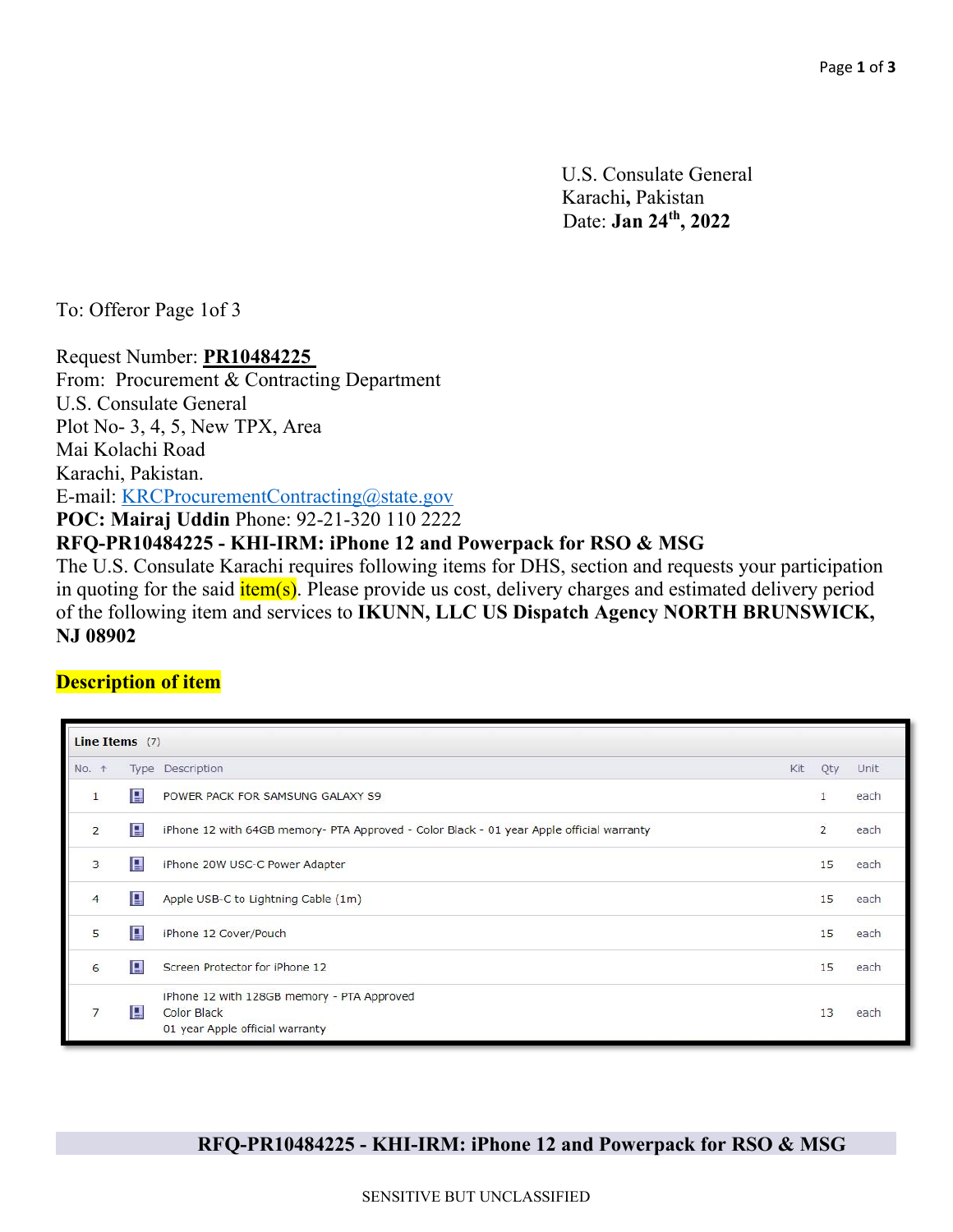U.S. Consulate General Karachi**,** Pakistan Date: **Jan 24th, 2022**

To: Offeror Page 1of 3

Request Number: **PR10484225**  From: Procurement & Contracting Department U.S. Consulate General Plot No- 3, 4, 5, New TPX, Area Mai Kolachi Road Karachi, Pakistan. E-mail: KRCProcurementContracting@state.gov **POC: Mairaj Uddin** Phone: 92-21-320 110 2222 **RFQ-PR10484225 - KHI-IRM: iPhone 12 and Powerpack for RSO & MSG** The U.S. Consulate Karachi requires following items for DHS, section and requests your participation in quoting for the said  $\frac{i \text{tem}(s)}{i \text{tem}(s)}$ . Please provide us cost, delivery charges and estimated delivery period of the following item and services to **IKUNN, LLC US Dispatch Agency NORTH BRUNSWICK,** 

**NJ 08902**

### **Description of item**

| Line Items $(7)$ |   |                                                                                              |                |      |
|------------------|---|----------------------------------------------------------------------------------------------|----------------|------|
| No. 1            |   | Type Description<br>Kit                                                                      | Qty            | Unit |
| 1                | 目 | POWER PACK FOR SAMSUNG GALAXY S9                                                             | $\mathbf{1}$   | each |
| $\overline{2}$   | B | iPhone 12 with 64GB memory- PTA Approved - Color Black - 01 year Apple official warranty     | $\overline{2}$ | each |
| 3                | 目 | iPhone 20W USC-C Power Adapter                                                               | 15             | each |
| 4                | 目 | Apple USB-C to Lightning Cable (1m)                                                          | 15             | each |
| 5                | 目 | iPhone 12 Cover/Pouch                                                                        | 15             | each |
| 6                | 日 | Screen Protector for iPhone 12                                                               | 15             | each |
|                  | 目 | iPhone 12 with 128GB memory - PTA Approved<br>Color Black<br>01 year Apple official warranty | 13             | each |

# **RFQ-PR10484225 - KHI-IRM: iPhone 12 and Powerpack for RSO & MSG**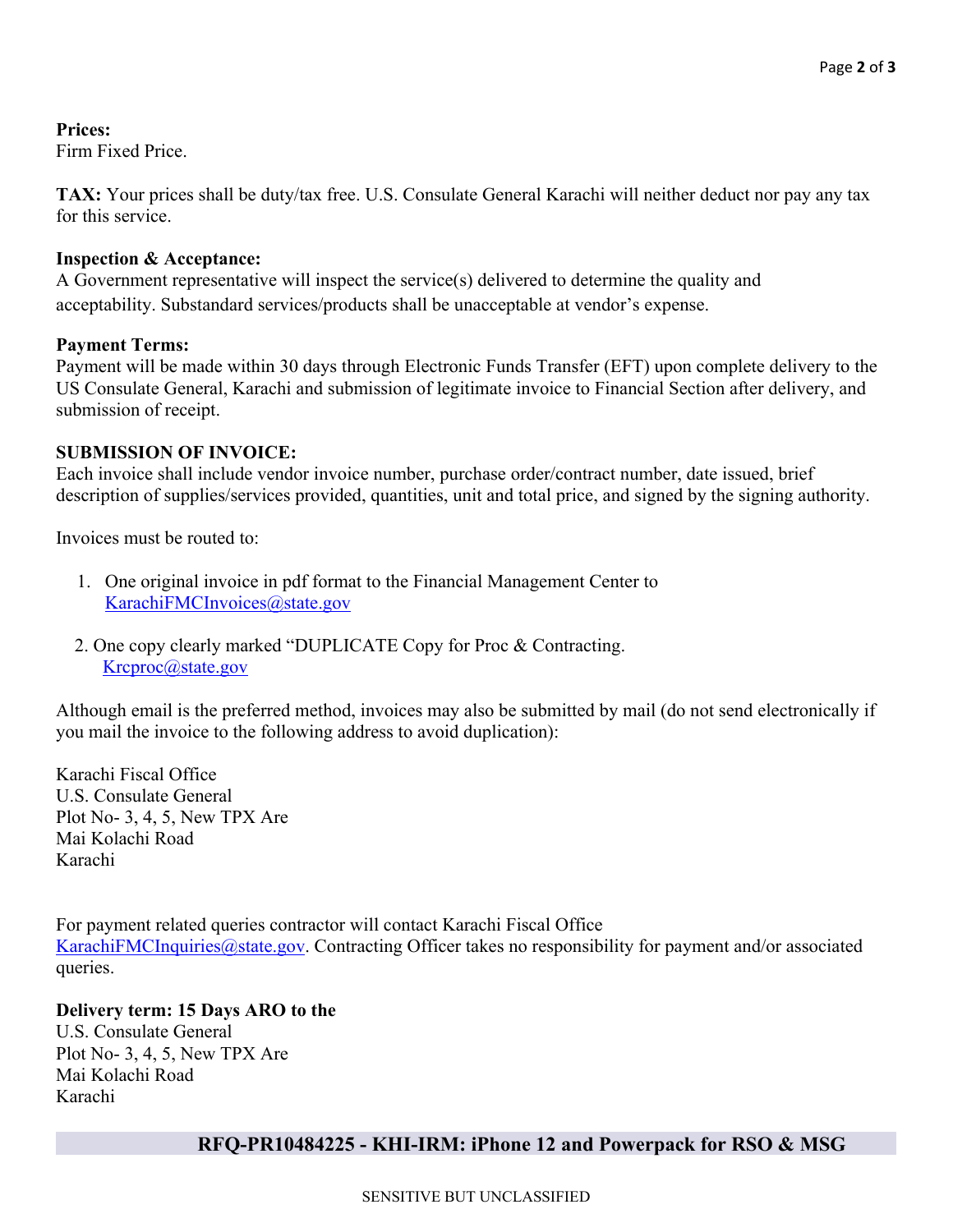**Prices:**  Firm Fixed Price.

**TAX:** Your prices shall be duty/tax free. U.S. Consulate General Karachi will neither deduct nor pay any tax for this service.

#### **Inspection & Acceptance:**

A Government representative will inspect the service(s) delivered to determine the quality and acceptability. Substandard services/products shall be unacceptable at vendor's expense.

#### **Payment Terms:**

Payment will be made within 30 days through Electronic Funds Transfer (EFT) upon complete delivery to the US Consulate General, Karachi and submission of legitimate invoice to Financial Section after delivery, and submission of receipt.

#### **SUBMISSION OF INVOICE:**

Each invoice shall include vendor invoice number, purchase order/contract number, date issued, brief description of supplies/services provided, quantities, unit and total price, and signed by the signing authority.

Invoices must be routed to:

- 1. One original invoice in pdf format to the Financial Management Center to KarachiFMCInvoices@state.gov
- 2. One copy clearly marked "DUPLICATE Copy for Proc & Contracting. Krcproc@state.gov

Although email is the preferred method, invoices may also be submitted by mail (do not send electronically if you mail the invoice to the following address to avoid duplication):

Karachi Fiscal Office U.S. Consulate General Plot No- 3, 4, 5, New TPX Are Mai Kolachi Road Karachi

For payment related queries contractor will contact Karachi Fiscal Office KarachiFMCInquiries@state.gov. Contracting Officer takes no responsibility for payment and/or associated queries.

### **Delivery term: 15 Days ARO to the**

U.S. Consulate General Plot No- 3, 4, 5, New TPX Are Mai Kolachi Road Karachi

# **RFQ-PR10484225 - KHI-IRM: iPhone 12 and Powerpack for RSO & MSG**